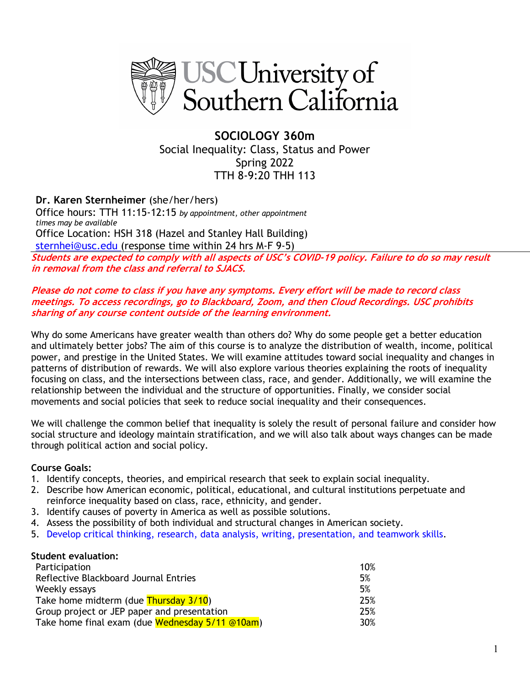

**SOCIOLOGY 360m**  Social Inequality: Class, Status and Power Spring 2022 TTH 8-9:20 THH 113

**Dr. Karen Sternheimer** (she/her/hers) Office hours: TTH 11:15-12:15 *by appointment, other appointment times may be available* Office Location: HSH 318 (Hazel and Stanley Hall Building) sternhei@usc.edu (response time within 24 hrs M-F 9-5)

**Students are expected to comply with all aspects of USC's COVID-19 policy. Failure to do so may result in removal from the class and referral to SJACS.**

#### **Please do not come to class if you have any symptoms. Every effort will be made to record class meetings. To access recordings, go to Blackboard, Zoom, and then Cloud Recordings. USC prohibits sharing of any course content outside of the learning environment.**

Why do some Americans have greater wealth than others do? Why do some people get a better education and ultimately better jobs? The aim of this course is to analyze the distribution of wealth, income, political power, and prestige in the United States. We will examine attitudes toward social inequality and changes in patterns of distribution of rewards. We will also explore various theories explaining the roots of inequality focusing on class, and the intersections between class, race, and gender. Additionally, we will examine the relationship between the individual and the structure of opportunities. Finally, we consider social movements and social policies that seek to reduce social inequality and their consequences.

We will challenge the common belief that inequality is solely the result of personal failure and consider how social structure and ideology maintain stratification, and we will also talk about ways changes can be made through political action and social policy.

#### **Course Goals:**

- 1. Identify concepts, theories, and empirical research that seek to explain social inequality.
- 2. Describe how American economic, political, educational, and cultural institutions perpetuate and reinforce inequality based on class, race, ethnicity, and gender.
- 3. Identify causes of poverty in America as well as possible solutions.
- 4. Assess the possibility of both individual and structural changes in American society.
- 5. Develop critical thinking, research, data analysis, writing, presentation, and teamwork skills.

#### **Student evaluation:**

| Participation                                   | 10% |
|-------------------------------------------------|-----|
| Reflective Blackboard Journal Entries           | 5%  |
| Weekly essays                                   | 5%  |
| Take home midterm (due Thursday 3/10)           | 25% |
| Group project or JEP paper and presentation     | 25% |
| Take home final exam (due Wednesday 5/11 @10am) | 30% |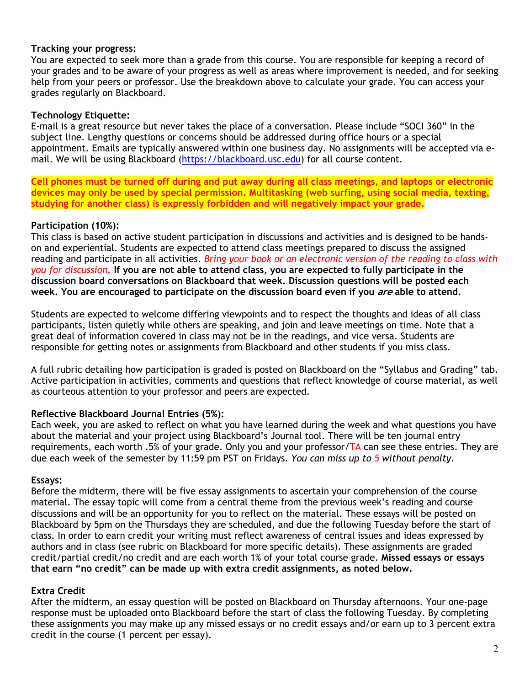#### **Tracking your progress:**

You are expected to seek more than a grade from this course. You are responsible for keeping a record of your grades and to be aware of your progress as well as areas where improvement is needed, and for seeking help from your peers or professor. Use the breakdown above to calculate your grade. You can access your grades regularly on Blackboard.

### **Technology Etiquette:**

E-mail is a great resource but never takes the place of a conversation. Please include "SOCI 360" in the subject line. Lengthy questions or concerns should be addressed during office hours or a special appointment. Emails are typically answered within one business day. No assignments will be accepted via email. We will be using Blackboard (https://blackboard.usc.edu) for all course content.

**Cell phones must be turned off during and put away during all class meetings, and laptops or electronic devices may only be used by special permission. Multitasking (web surfing, using social media, texting, studying for another class) is expressly forbidden and will negatively impact your grade.**

### **Participation (10%):**

This class is based on active student participation in discussions and activities and is designed to be handson and experiential. Students are expected to attend class meetings prepared to discuss the assigned reading and participate in all activities. *Bring your book or an electronic version of the reading to class with you for discussion.* **If you are not able to attend class, you are expected to fully participate in the discussion board conversations on Blackboard that week. Discussion questions will be posted each week. You are encouraged to participate on the discussion board even if you are able to attend.**

Students are expected to welcome differing viewpoints and to respect the thoughts and ideas of all class participants, listen quietly while others are speaking, and join and leave meetings on time. Note that a great deal of information covered in class may not be in the readings, and vice versa. Students are responsible for getting notes or assignments from Blackboard and other students if you miss class.

A full rubric detailing how participation is graded is posted on Blackboard on the "Syllabus and Grading" tab. Active participation in activities, comments and questions that reflect knowledge of course material, as well as courteous attention to your professor and peers are expected.

## **Reflective Blackboard Journal Entries (5%):**

Each week, you are asked to reflect on what you have learned during the week and what questions you have about the material and your project using Blackboard's Journal tool. There will be ten journal entry requirements, each worth .5% of your grade. Only you and your professor/ $TA$  can see these entries. They are due each week of the semester by 11:59 pm PST on Fridays. *You can miss up to 5 without penalty*.

#### **Essays:**

Before the midterm, there will be five essay assignments to ascertain your comprehension of the course material. The essay topic will come from a central theme from the previous week's reading and course discussions and will be an opportunity for you to reflect on the material. These essays will be posted on Blackboard by 5pm on the Thursdays they are scheduled, and due the following Tuesday before the start of class. In order to earn credit your writing must reflect awareness of central issues and ideas expressed by authors and in class (see rubric on Blackboard for more specific details). These assignments are graded credit/partial credit/no credit and are each worth 1% of your total course grade. **Missed essays or essays that earn "no credit" can be made up with extra credit assignments, as noted below.**

## **Extra Credit**

After the midterm, an essay question will be posted on Blackboard on Thursday afternoons. Your one-page response must be uploaded onto Blackboard before the start of class the following Tuesday. By completing these assignments you may make up any missed essays or no credit essays and/or earn up to 3 percent extra credit in the course (1 percent per essay).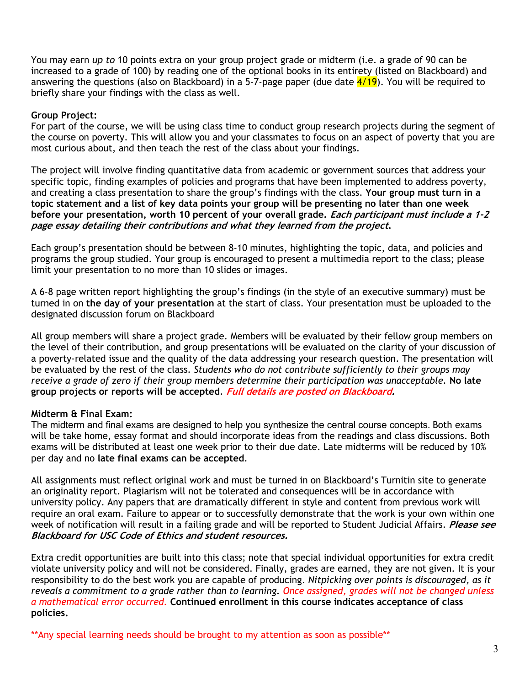You may earn *up to* 10 points extra on your group project grade or midterm (i.e. a grade of 90 can be increased to a grade of 100) by reading one of the optional books in its entirety (listed on Blackboard) and answering the questions (also on Blackboard) in a 5-7-page paper (due date  $\frac{4}{19}$ ). You will be required to briefly share your findings with the class as well.

#### **Group Project:**

For part of the course, we will be using class time to conduct group research projects during the segment of the course on poverty. This will allow you and your classmates to focus on an aspect of poverty that you are most curious about, and then teach the rest of the class about your findings.

The project will involve finding quantitative data from academic or government sources that address your specific topic, finding examples of policies and programs that have been implemented to address poverty, and creating a class presentation to share the group's findings with the class. **Your group must turn in a topic statement and a list of key data points your group will be presenting no later than one week before your presentation, worth 10 percent of your overall grade. Each participant must include a 1-2 page essay detailing their contributions and what they learned from the project.**

Each group's presentation should be between 8-10 minutes, highlighting the topic, data, and policies and programs the group studied. Your group is encouraged to present a multimedia report to the class; please limit your presentation to no more than 10 slides or images.

A 6-8 page written report highlighting the group's findings (in the style of an executive summary) must be turned in on **the day of your presentation** at the start of class. Your presentation must be uploaded to the designated discussion forum on Blackboard

All group members will share a project grade. Members will be evaluated by their fellow group members on the level of their contribution, and group presentations will be evaluated on the clarity of your discussion of a poverty-related issue and the quality of the data addressing your research question. The presentation will be evaluated by the rest of the class. *Students who do not contribute sufficiently to their groups may receive a grade of zero if their group members determine their participation was unacceptable.* **No late group projects or reports will be accepted**. **Full details are posted on Blackboard.**

#### **Midterm & Final Exam:**

The midterm and final exams are designed to help you synthesize the central course concepts. Both exams will be take home, essay format and should incorporate ideas from the readings and class discussions. Both exams will be distributed at least one week prior to their due date. Late midterms will be reduced by 10% per day and no **late final exams can be accepted**.

All assignments must reflect original work and must be turned in on Blackboard's Turnitin site to generate an originality report. Plagiarism will not be tolerated and consequences will be in accordance with university policy. Any papers that are dramatically different in style and content from previous work will require an oral exam. Failure to appear or to successfully demonstrate that the work is your own within one week of notification will result in a failing grade and will be reported to Student Judicial Affairs. **Please see Blackboard for USC Code of Ethics and student resources.**

Extra credit opportunities are built into this class; note that special individual opportunities for extra credit violate university policy and will not be considered. Finally, grades are earned, they are not given. It is your responsibility to do the best work you are capable of producing. *Nitpicking over points is discouraged, as it reveals a commitment to a grade rather than to learning. Once assigned, grades will not be changed unless a mathematical error occurred.* **Continued enrollment in this course indicates acceptance of class policies.**

\*\*Any special learning needs should be brought to my attention as soon as possible\*\*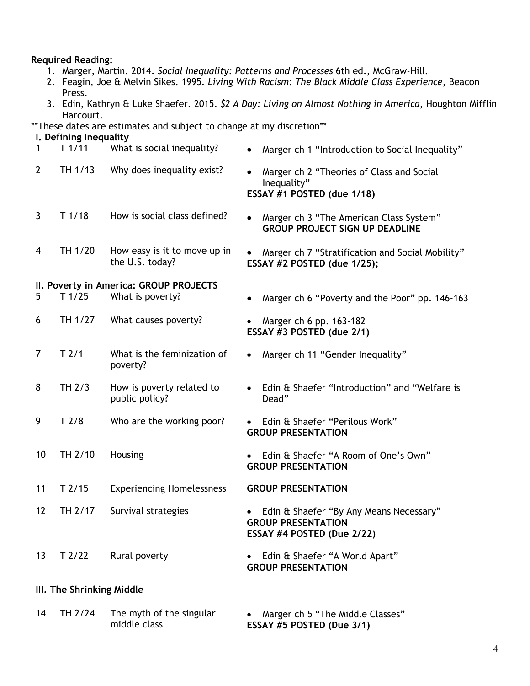#### **Required Reading:**

- 1. Marger, Martin. 2014. *Social Inequality: Patterns and Processes* 6th ed., McGraw-Hill.
- 2. Feagin, Joe & Melvin Sikes. 1995. *Living With Racism: The Black Middle Class Experience*, Beacon Press.
- 3. Edin, Kathryn & Luke Shaefer. 2015. *\$2 A Day: Living on Almost Nothing in America*, Houghton Mifflin Harcourt.

\*\*These dates are estimates and subject to change at my discretion\*\*

#### **I. Defining Inequality**

| 1                                      | T1/11             | What is social inequality?                      | Marger ch 1 "Introduction to Social Inequality"<br>$\bullet$                                       |  |
|----------------------------------------|-------------------|-------------------------------------------------|----------------------------------------------------------------------------------------------------|--|
| $\overline{2}$                         | TH 1/13           | Why does inequality exist?                      | Marger ch 2 "Theories of Class and Social<br>Inequality"<br>ESSAY #1 POSTED (due 1/18)             |  |
| $\mathbf{3}$                           | T1/18             | How is social class defined?                    | Marger ch 3 "The American Class System"<br><b>GROUP PROJECT SIGN UP DEADLINE</b>                   |  |
| 4                                      | TH 1/20           | How easy is it to move up in<br>the U.S. today? | Marger ch 7 "Stratification and Social Mobility"<br>ESSAY #2 POSTED (due 1/25);                    |  |
| II. Poverty in America: GROUP PROJECTS |                   |                                                 |                                                                                                    |  |
| 5                                      | T <sub>1/25</sub> | What is poverty?                                | Marger ch 6 "Poverty and the Poor" pp. 146-163                                                     |  |
| 6                                      | TH 1/27           | What causes poverty?                            | Marger ch 6 pp. 163-182<br>ESSAY #3 POSTED (due 2/1)                                               |  |
| $\overline{7}$                         | T <sub>2/1</sub>  | What is the feminization of<br>poverty?         | Marger ch 11 "Gender Inequality"<br>$\bullet$                                                      |  |
| 8                                      | TH 2/3            | How is poverty related to<br>public policy?     | Edin & Shaefer "Introduction" and "Welfare is<br>Dead"                                             |  |
| 9                                      | T <sub>2/8</sub>  | Who are the working poor?                       | Edin & Shaefer "Perilous Work"<br><b>GROUP PRESENTATION</b>                                        |  |
| 10                                     | TH 2/10           | Housing                                         | Edin & Shaefer "A Room of One's Own"<br><b>GROUP PRESENTATION</b>                                  |  |
| 11                                     | $T$ 2/15          | <b>Experiencing Homelessness</b>                | <b>GROUP PRESENTATION</b>                                                                          |  |
| 12                                     | TH 2/17           | Survival strategies                             | Edin & Shaefer "By Any Means Necessary"<br><b>GROUP PRESENTATION</b><br>ESSAY #4 POSTED (Due 2/22) |  |
| 13                                     | T2/22             | Rural poverty                                   | Edin & Shaefer "A World Apart"<br><b>GROUP PRESENTATION</b>                                        |  |
| III. The Shrinking Middle              |                   |                                                 |                                                                                                    |  |

14 TH 2/24 The myth of the singular middle class • Marger ch 5 "The Middle Classes" **ESSAY #5 POSTED (Due 3/1)**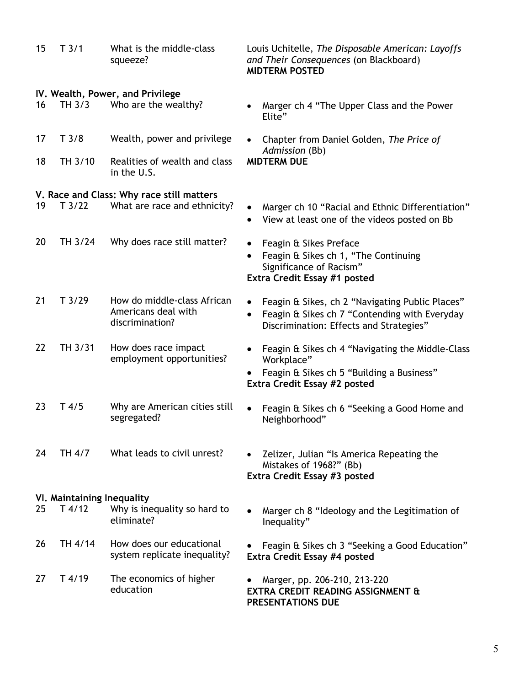| 15 | T3/1                       | What is the middle-class<br>squeeze?                                  | Louis Uchitelle, The Disposable American: Layoffs<br>and Their Consequences (on Blackboard)<br><b>MIDTERM POSTED</b>                        |  |
|----|----------------------------|-----------------------------------------------------------------------|---------------------------------------------------------------------------------------------------------------------------------------------|--|
| 16 | TH 3/3                     | IV. Wealth, Power, and Privilege<br>Who are the wealthy?              | Marger ch 4 "The Upper Class and the Power<br>Elite"                                                                                        |  |
| 17 | T3/8                       | Wealth, power and privilege                                           | Chapter from Daniel Golden, The Price of<br>Admission (Bb)                                                                                  |  |
| 18 | TH 3/10                    | Realities of wealth and class<br>in the U.S.                          | <b>MIDTERM DUE</b>                                                                                                                          |  |
|    |                            | V. Race and Class: Why race still matters                             |                                                                                                                                             |  |
| 19 | T3/22                      | What are race and ethnicity?                                          | Marger ch 10 "Racial and Ethnic Differentiation"<br>View at least one of the videos posted on Bb<br>$\bullet$                               |  |
| 20 | TH 3/24                    | Why does race still matter?                                           | Feagin & Sikes Preface<br>Feagin & Sikes ch 1, "The Continuing<br>Significance of Racism"<br>Extra Credit Essay #1 posted                   |  |
|    |                            |                                                                       |                                                                                                                                             |  |
| 21 | T3/29                      | How do middle-class African<br>Americans deal with<br>discrimination? | Feagin & Sikes, ch 2 "Navigating Public Places"<br>Feagin & Sikes ch 7 "Contending with Everyday<br>Discrimination: Effects and Strategies" |  |
| 22 | TH 3/31                    | How does race impact<br>employment opportunities?                     | Feagin & Sikes ch 4 "Navigating the Middle-Class<br>Workplace"                                                                              |  |
|    |                            |                                                                       | Feagin & Sikes ch 5 "Building a Business"<br>Extra Credit Essay #2 posted                                                                   |  |
| 23 | $T$ 4/5                    | Why are American cities still<br>segregated?                          | Feagin & Sikes ch 6 "Seeking a Good Home and<br>Neighborhood"                                                                               |  |
| 24 | TH 4/7                     | What leads to civil unrest?                                           | Zelizer, Julian "Is America Repeating the<br>Mistakes of 1968?" (Bb)<br>Extra Credit Essay #3 posted                                        |  |
|    | VI. Maintaining Inequality |                                                                       |                                                                                                                                             |  |
| 25 | $T$ 4/12                   | Why is inequality so hard to<br>eliminate?                            | Marger ch 8 "Ideology and the Legitimation of<br>Inequality"                                                                                |  |
| 26 | TH 4/14                    | How does our educational<br>system replicate inequality?              | Feagin & Sikes ch 3 "Seeking a Good Education"<br>Extra Credit Essay #4 posted                                                              |  |
| 27 | $T$ 4/19                   | The economics of higher<br>education                                  | Marger, pp. 206-210, 213-220<br><b>EXTRA CREDIT READING ASSIGNMENT &amp;</b><br>PRESENTATIONS DUE                                           |  |